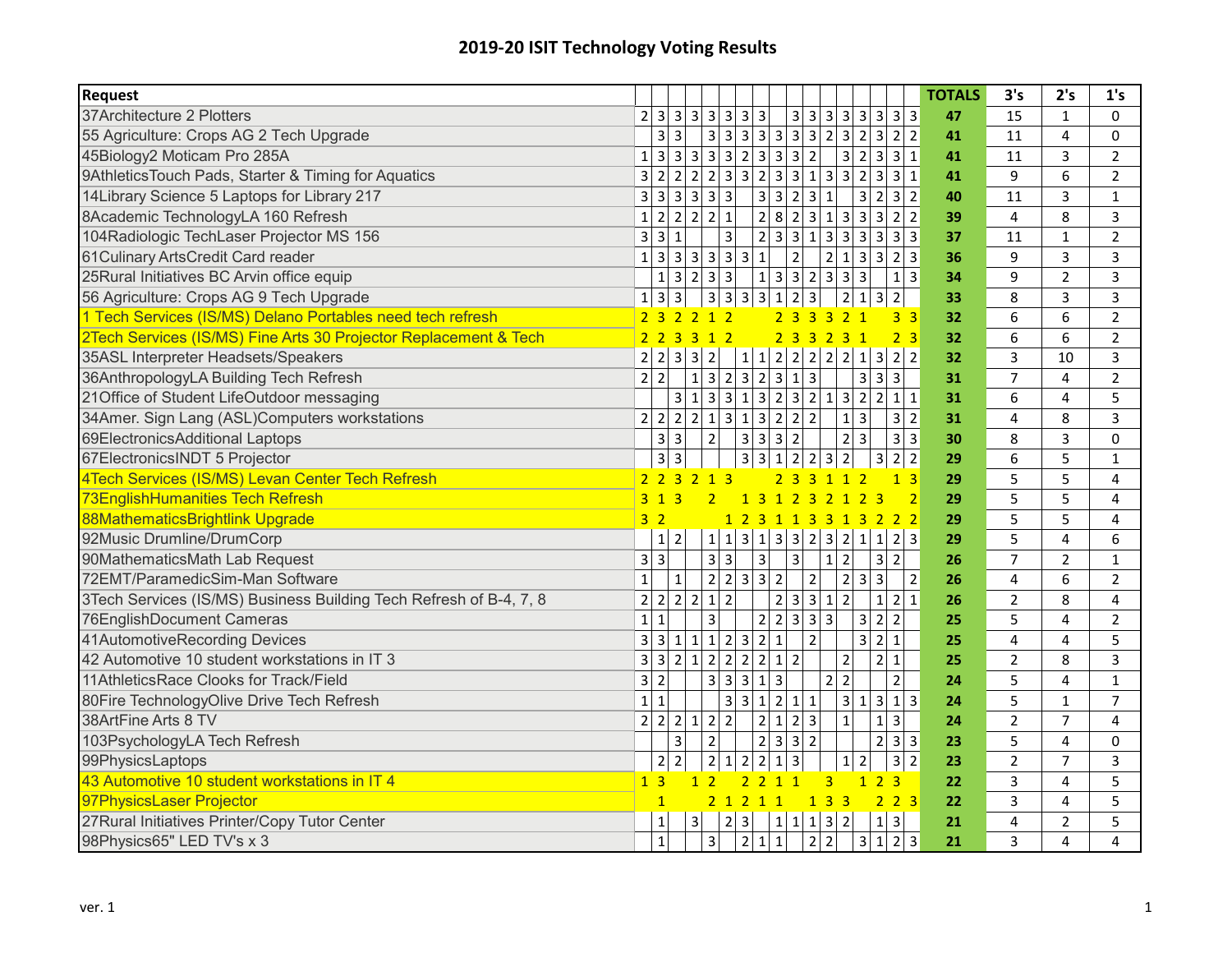## **2019‐20 ISIT Technology Voting Results**

| <b>Request</b>                                                     |                         |                         |                         |                                  |                                  |                                                                            |                     |                                  |                          |                         |                                 |                         |                             |                                 | <b>TOTALS</b> | 3's            | 2's                     | 1's            |
|--------------------------------------------------------------------|-------------------------|-------------------------|-------------------------|----------------------------------|----------------------------------|----------------------------------------------------------------------------|---------------------|----------------------------------|--------------------------|-------------------------|---------------------------------|-------------------------|-----------------------------|---------------------------------|---------------|----------------|-------------------------|----------------|
| 37Architecture 2 Plotters                                          |                         | 2 3 3                   |                         | $3 \mid 3 \mid 3$                |                                  | $3 \overline{\smash{\big)}3}$                                              |                     |                                  |                          |                         |                                 |                         |                             | 3 3 3 3 3 3 3 3                 | 47            | 15             | $\mathbf{1}$            | $\Omega$       |
| 55 Agriculture: Crops AG 2 Tech Upgrade                            |                         | $\overline{3}$          | 3                       |                                  | 3 3                              | 3 3                                                                        |                     | 3 3 3 2 3 2                      |                          |                         |                                 |                         |                             | 3 2 2                           | 41            | 11             | $\overline{4}$          | 0              |
| 45Biology2 Moticam Pro 285A                                        | $\mathbf{1}$            | 3 <sup>l</sup>          | $\overline{\mathbf{3}}$ |                                  |                                  |                                                                            |                     | 33322332                         |                          |                         | 3 2                             |                         |                             | $3 \mid 3 \mid 1$               | 41            | 11             | $\overline{3}$          | $\overline{2}$ |
| 9AthleticsTouch Pads, Starter & Timing for Aquatics                | $\overline{3}$          | 2 <sup>1</sup>          | $\overline{2}$          |                                  |                                  | $\overline{2}$ $\overline{2}$ $\overline{3}$ $\overline{3}$ $\overline{2}$ |                     | $\overline{3}$                   |                          | 3 1 3 3 2               |                                 |                         |                             | 3 3 1                           | 41            | 9              | 6                       | $\overline{2}$ |
| 14Library Science 5 Laptops for Library 217                        | 3                       | $\overline{3}$          | $\overline{3}$          | 3 3 3                            |                                  |                                                                            | 3 <sup>1</sup>      | $\overline{3}$                   | $2 \overline{3}$         | $\mathbf{1}$            |                                 | $\overline{3}$          |                             | 2 3 2                           | 40            | 11             | $\overline{3}$          | $\mathbf{1}$   |
| 8Academic TechnologyLA 160 Refresh                                 | $\mathbf{1}$            | $\overline{2}$          | $\overline{2}$          | $\overline{2}$                   | $2\overline{1}$                  |                                                                            | $\overline{2}$ 8    |                                  |                          | 2 3 1 3 3               |                                 |                         |                             | 3 2 2                           | 39            | $\overline{4}$ | 8                       | 3              |
| 104Radiologic TechLaser Projector MS 156                           | $\overline{\mathbf{3}}$ | $\overline{3}$          | $\mathbf{1}$            |                                  | 3                                |                                                                            | 2                   | 3 3 1 3 3 3                      |                          |                         |                                 |                         |                             | 3 3 3                           | 37            | 11             | $\mathbf{1}$            | $\overline{2}$ |
| 61 Culinary Arts Credit Card reader                                | $\mathbf{1}$            | $\overline{3}$          | $\overline{3}$          |                                  |                                  | 3 3 3 3                                                                    | $\mathbf{1}$        | $\overline{2}$                   |                          |                         | 2 1 3                           |                         |                             | 3 2 3                           | 36            | 9              | $\overline{3}$          | 3              |
| 25Rural Initiatives BC Arvin office equip                          |                         | $1\vert$                | $\overline{3}$          | 2                                | 3 3                              |                                                                            | $1\vert$            | 3 3 2 3 3 3                      |                          |                         |                                 |                         |                             | $1 \overline{\smash{\big)}\ 3}$ | 34            | 9              | $\overline{2}$          | $\overline{3}$ |
| 56 Agriculture: Crops AG 9 Tech Upgrade                            | $\mathbf{1}$            | $\overline{\mathbf{3}}$ | 3                       |                                  |                                  | 3 3 3 3 1                                                                  |                     |                                  | $2 \overline{3}$         |                         | 2 1                             |                         | 3 2                         |                                 | 33            | 8              | $\overline{3}$          | $\overline{3}$ |
| 1 Tech Services (IS/MS) Delano Portables need tech refresh         |                         | 2 <sub>3</sub>          | $\overline{2}$          | $\overline{2}$                   | 1 <sub>2</sub>                   |                                                                            |                     | 2 <sub>3</sub>                   | $\overline{3}$           | $\overline{3}$          | 2 <sub>1</sub>                  |                         |                             | 3 <sup>3</sup>                  | 32            | 6              | 6                       | $\overline{2}$ |
| 2Tech Services (IS/MS) Fine Arts 30 Projector Replacement & Tech   |                         |                         | 2 2 3 3 1 2             |                                  |                                  |                                                                            |                     | 2 3 3 2 3 1                      |                          |                         |                                 |                         |                             | 2 <sub>3</sub>                  | 32            | 6              | 6                       | $\overline{2}$ |
| 35ASL Interpreter Headsets/Speakers                                | $\overline{2}$          | $\overline{2}$          | $\overline{3}$          | $\overline{2}$<br>$\vert$ 3      |                                  | $\mathbf{1}$                                                               | $1\vert$            | $\overline{2}$                   | 2 2                      |                         | 2 2 1                           |                         |                             | 3 2 2                           | 32            | 3              | 10                      | 3              |
| 36AnthropologyLA Building Tech Refresh                             | $\overline{2}$          | $\overline{2}$          |                         | $1\overline{ }$                  |                                  |                                                                            |                     | $\overline{3}$                   | $1 \overline{3}$         |                         |                                 | $\overline{3}$          | 3 3                         |                                 | 31            | $\overline{7}$ | $\overline{4}$          | $\overline{2}$ |
| 21Office of Student LifeOutdoor messaging                          |                         |                         | $\overline{\mathbf{3}}$ | $1\overline{ }$                  |                                  |                                                                            |                     | 3313232132                       |                          |                         |                                 |                         |                             | $2 \mid 1 \mid 1$               | 31            | 6              | $\overline{4}$          | 5              |
| 34Amer. Sign Lang (ASL)Computers workstations                      | 2 <sup>1</sup>          | $\overline{2}$          | $\overline{2}$          |                                  |                                  | 2 1 3 1 3                                                                  |                     | $\overline{2 2 2}$               |                          |                         | $1 \overline{\smash{\big)}\ 3}$ |                         |                             | $3 \mid 2$                      | 31            | 4              | 8                       | 3              |
| 69ElectronicsAdditional Laptops                                    |                         | 3 <sup>1</sup>          | $\overline{3}$          |                                  | $\overline{2}$                   | $\vert$ 3                                                                  | سا                  | $3\overline{2}$                  |                          |                         | $\overline{2}$ $\overline{3}$   |                         |                             | $3 \mid 3$                      | 30            | 8              | $\overline{3}$          | 0              |
| 67ElectronicsINDT 5 Projector                                      |                         | $\overline{\mathbf{3}}$ | $\mathbf{3}$            |                                  |                                  | 3 3                                                                        |                     | $\mathbf 1$                      | $2$ 2                    | $\overline{\mathbf{3}}$ | $\overline{2}$                  |                         | 3 <sup>1</sup>              | $2$ 2                           | 29            | 6              | 5                       | $\mathbf{1}$   |
| 4Tech Services (IS/MS) Levan Center Tech Refresh                   |                         |                         | 2 2 3 2 1 3             |                                  |                                  |                                                                            |                     | 2 3 3 1 1 2                      |                          |                         |                                 |                         |                             | 1 <sub>3</sub>                  | 29            | 5              | 5                       | $\overline{4}$ |
| <b>73EnglishHumanities Tech Refresh</b>                            |                         | $3 \t1 \t3$             |                         |                                  | 2 <sup>1</sup>                   |                                                                            |                     | 1 3 1 2 3 2 1                    |                          |                         |                                 | 2 <sub>3</sub>          |                             | $\overline{2}$                  | 29            | 5              | 5                       | 4              |
| 88MathematicsBrightlink Upgrade                                    |                         | 3 <sup>2</sup>          |                         |                                  |                                  |                                                                            |                     | 1 2 3 1 1 3 3 1 3 2 2 2          |                          |                         |                                 |                         |                             |                                 | 29            | 5              | 5                       | 4              |
| 92Music Drumline/DrumCorp                                          |                         | $1 \overline{2}$        |                         |                                  | 1 1                              |                                                                            |                     | 3 1 3 3 2 3 2 1                  |                          |                         |                                 |                         |                             | 1 2 3                           | 29            | 5              | $\overline{4}$          | 6              |
| 90MathematicsMath Lab Request                                      | $\overline{\mathbf{3}}$ | $\overline{3}$          |                         |                                  | $3 \mid 3$                       |                                                                            | 3                   | $\overline{3}$                   |                          | $\mathbf{1}$            | $\overline{2}$                  |                         | 3 2                         |                                 | 26            | $\overline{7}$ | $\overline{2}$          | $\mathbf{1}$   |
| 72EMT/ParamedicSim-Man Software                                    | $\mathbf{1}$            |                         | $\mathbf{1}$            |                                  |                                  | 2 2 3 3 2                                                                  |                     |                                  | $\mathbf 2$              |                         | $2 \overline{3}$                |                         | $\overline{3}$              | $\overline{2}$                  | 26            | 4              | 6                       | $\overline{2}$ |
| 3Tech Services (IS/MS) Business Building Tech Refresh of B-4, 7, 8 | $\overline{2}$          | 2 2                     |                         | $\overline{2}$                   | $\overline{2}$<br>1              |                                                                            |                     | $\overline{2}$                   | $3 \mid 3 \mid 1$        |                         | $\overline{2}$                  |                         | $\mathbf{1}$                | 2 1                             | 26            | $\overline{2}$ | 8                       | 4              |
| 76EnglishDocument Cameras                                          | $\mathbf{1}$            | $\mathbf 1$             |                         | 3                                |                                  |                                                                            | $\overline{2}$      | $\overline{2}$                   | $3 \mid 3 \mid$          | $\overline{3}$          |                                 | $\overline{3}$          | $2 \vert$<br>$\overline{2}$ |                                 | 25            | 5              | $\overline{\mathbf{4}}$ | $\overline{2}$ |
| 41AutomotiveRecording Devices                                      | $\overline{\mathbf{3}}$ | 3 <sup>1</sup>          | $\mathbf 1$             | 1                                |                                  | $1 \mid 2 \mid 3 \mid 2$                                                   |                     | $\mathbf 1$                      | $\overline{2}$           |                         |                                 | 3                       | 2 1                         |                                 | 25            | 4              | $\overline{4}$          | 5              |
| 42 Automotive 10 student workstations in IT 3                      | $\overline{\mathbf{3}}$ | $\overline{3}$          | $\overline{2}$          | $1\vert$                         | $2\overline{2}$                  |                                                                            | $2 \overline{2}$    | $\mathbf{1}$<br>$\overline{2}$   |                          |                         | $\overline{2}$                  |                         | $\overline{2}$<br>$\vert$ 1 |                                 | 25            | $\overline{2}$ | 8                       | 3              |
| 11AthleticsRace Clooks for Track/Field                             | 3                       | $\overline{2}$          |                         |                                  | $\overline{3}$<br>3 <sup>1</sup> | $\overline{3}$                                                             | 1                   | 3                                |                          | $\overline{2}$          | $\overline{2}$                  |                         |                             | $\overline{2}$                  | 24            | 5              | $\overline{4}$          | $\mathbf{1}$   |
| 80Fire TechnologyOlive Drive Tech Refresh                          | $\mathbf{1}$            | 1                       |                         |                                  | 3                                | $\overline{3}$                                                             | $1\vert$            | $\overline{2}$                   | $1 \vert 1$              |                         | 3 1                             |                         |                             | 3 1 3                           | 24            | 5              | $\mathbf{1}$            | $\overline{7}$ |
| 38ArtFine Arts 8 TV                                                | $\overline{2}$          | $\overline{2}$ 2        |                         | 1                                | $2$   2                          |                                                                            | $\overline{2}$      | $\mathbf{1}$                     | 2 3                      |                         | $\mathbf{1}$                    |                         | $\mathbf{1}$                | 3 <sup>1</sup>                  | 24            | $\overline{2}$ | $\overline{7}$          | 4              |
| 103PsychologyLA Tech Refresh                                       |                         |                         | 3                       | $\overline{2}$                   |                                  |                                                                            | $\overline{2}$      | $\overline{3}$                   | $3\overline{\smash{)}2}$ |                         |                                 |                         |                             | 2 3 3                           | 23            | 5              | $\overline{4}$          | 0              |
| 99PhysicsLaptops                                                   |                         | $\overline{2}$          | $\overline{c}$          |                                  | $\overline{2}$<br>$\mathbf 1$    | $\overline{2}$                                                             | $\overline{2}$      | $\mathbf{1}$<br>$\overline{3}$   |                          |                         | $\mathbf{1}$                    | $\overline{2}$          |                             | $3\overline{2}$                 | 23            | $\overline{2}$ | $\overline{7}$          | 3              |
| 43 Automotive 10 student workstations in IT 4                      | $\mathbf{1}$            | $\overline{\mathbf{3}}$ |                         | $\overline{2}$<br>$\overline{1}$ |                                  | $\overline{2}$                                                             | $\overline{2}$      | $\overline{1}$<br>$\overline{1}$ |                          | $\overline{3}$          |                                 | $\overline{1}$          | 2 <sup>2</sup><br>3         |                                 | 22            | 3              | $\overline{4}$          | 5              |
| 97PhysicsLaser Projector                                           |                         |                         |                         |                                  | 2 <sub>1</sub>                   |                                                                            | $2 \quad 1 \quad 1$ |                                  | 1                        | $\overline{3}$          | $\overline{\mathbf{3}}$         |                         |                             | 223                             | 22            | 3              | $\overline{4}$          | 5              |
| 27Rural Initiatives Printer/Copy Tutor Center                      |                         | $1\vert$                |                         | $\overline{3}$                   | $\overline{2}$                   | $\overline{3}$                                                             |                     | $\overline{1}$                   | 1 1                      | 3 2                     |                                 |                         | 1                           | $\vert$ 3                       | 21            | 4              | $\overline{2}$          | 5              |
| 98Physics65" LED TV's x 3                                          |                         | $1\vert$                |                         | $\overline{3}$                   |                                  |                                                                            | 2 1                 | $\mathbf{1}$                     | 2                        | $\overline{2}$          |                                 | $\overline{\mathbf{3}}$ |                             | 1 2 3                           | 21            | 3              | $\overline{a}$          | $\overline{4}$ |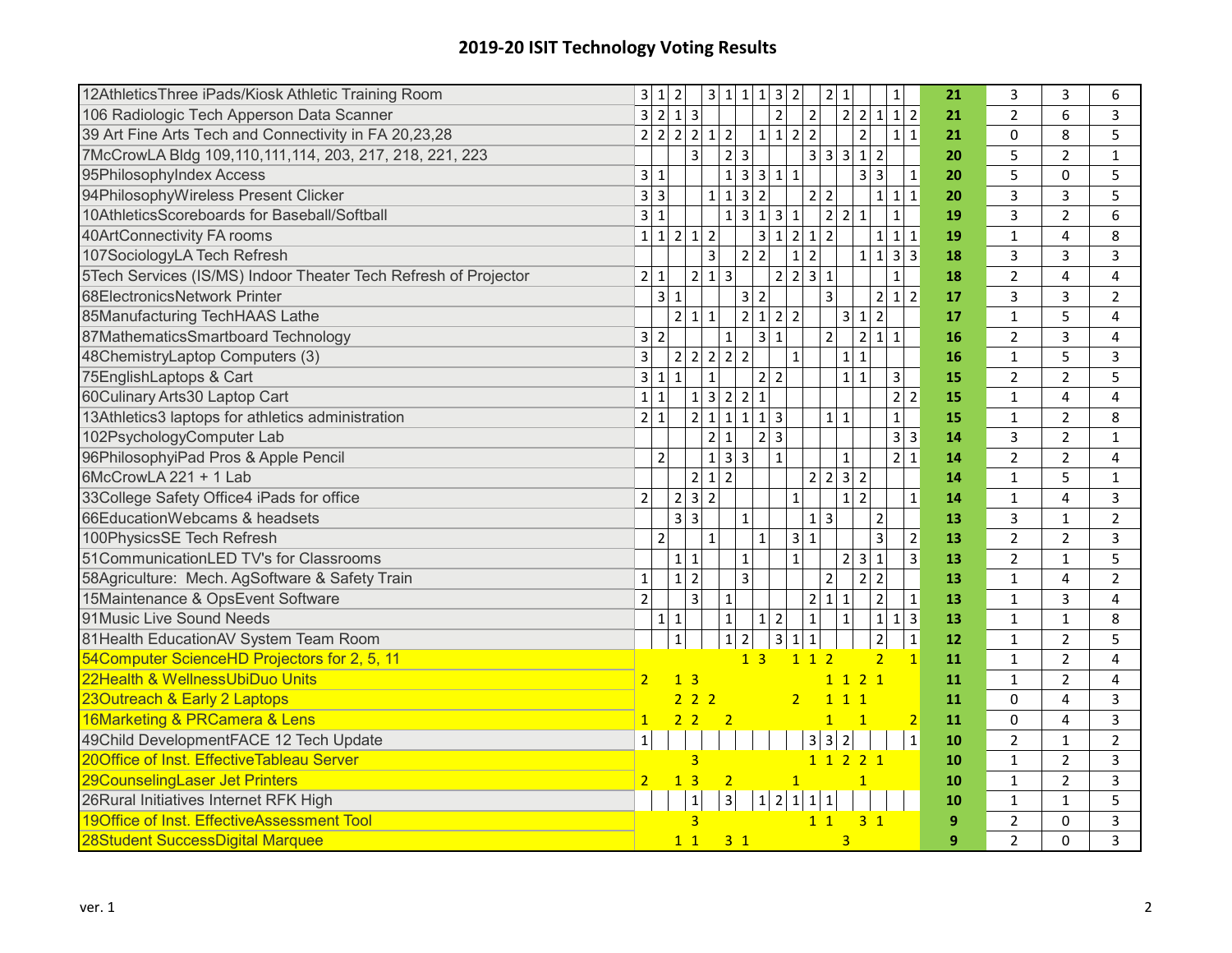## **2019‐20 ISIT Technology Voting Results**

| 12AthleticsThree iPads/Kiosk Athletic Training Room             | 3               | $1\vert$       | $\overline{2}$                                     | 3 1 1 1 3 2                                  |                               |                           |                         |                     |                | 2 1              |                                                    |                         | $1\vert$                               | 21             | 3              | 3              | 6              |
|-----------------------------------------------------------------|-----------------|----------------|----------------------------------------------------|----------------------------------------------|-------------------------------|---------------------------|-------------------------|---------------------|----------------|------------------|----------------------------------------------------|-------------------------|----------------------------------------|----------------|----------------|----------------|----------------|
| 106 Radiologic Tech Apperson Data Scanner                       |                 | 3 2            | $1 \overline{\smash{3}}$                           |                                              |                               |                           | $\overline{2}$          |                     | $\mathbf 2$    |                  | $\overline{2}$<br>2                                | $1\vert$                | $\overline{2}$<br>$1\overline{ }$      | 21             | $\overline{2}$ | 6              | 3              |
| 39 Art Fine Arts Tech and Connectivity in FA 20,23,28           | 2               | $\overline{2}$ | 2 2 1                                              |                                              | $\overline{2}$                | $\mathbf{1}$              |                         | $1 \vert 2 \vert 2$ |                |                  | $\overline{2}$                                     |                         | $1\vert 1$                             | 21             | $\mathbf 0$    | 8              | 5              |
| 7McCrowLA Bldg 109,110,111,114, 203, 217, 218, 221, 223         |                 |                | 3                                                  |                                              | 2 3                           |                           |                         |                     | 3 <sup>1</sup> | $3 \overline{3}$ | $1\vert$                                           | $\overline{2}$          |                                        | 20             | 5              | $\overline{2}$ | $\mathbf{1}$   |
| 95PhilosophyIndex Access                                        | 3 <sup>l</sup>  | $\mathbf{1}$   |                                                    |                                              | $\mathbf 1$                   | 3 3                       | $1\vert 1$              |                     |                |                  | $\overline{\mathbf{3}}$                            | $\overline{\mathbf{3}}$ | $\mathbf 1$                            | 20             | 5              | 0              | 5              |
| 94PhilosophyWireless Present Clicker                            |                 | $3 \mid 3$     |                                                    | $1\vert$                                     | $\mathbf 1$                   | $3 \overline{\smash{)}2}$ |                         |                     | $\overline{2}$ | $\overline{2}$   |                                                    | $1\vert$                | $\mathbf 1$<br>$1\overline{ }$         | 20             | 3              | 3              | 5              |
| 10AthleticsScoreboards for Baseball/Softball                    | 3 <sup>1</sup>  | 1              |                                                    |                                              | $1 \vert 3 \vert 1 \vert$     |                           | 3 1                     |                     |                | $\overline{2}$   | $\mathbf 1$<br>2                                   |                         | $\mathbf 1$                            | 19             | $\overline{3}$ | $\overline{2}$ | 6              |
| 40ArtConnectivity FA rooms                                      | $1\vert$        | $1\vert$       | $\overline{2}$                                     | 1 2                                          |                               | 3 <sup>1</sup>            |                         | $1 \ 2 \ 1$         |                | $\overline{2}$   |                                                    | $1\vert$                | $\mathbf 1$<br>$1\overline{ }$         | 19             | $\mathbf 1$    | 4              | 8              |
| 107SociologyLA Tech Refresh                                     |                 |                |                                                    | $\overline{3}$                               |                               | $2\overline{2}$           |                         | $1\vert$            | $\overline{2}$ |                  | $\mathbf{1}$                                       | $1 \vert 3 \vert$       | 3                                      | 18             | 3              | 3              | 3              |
| 5Tech Services (IS/MS) Indoor Theater Tech Refresh of Projector | 2 <sub>1</sub>  | $\mathbf 1$    |                                                    | 2 1 3                                        |                               |                           |                         | 2 2 3               |                | $\vert$ 1        |                                                    |                         | $\mathbf 1$                            | 18             | $\overline{2}$ | 4              | 4              |
| 68ElectronicsNetwork Printer                                    |                 | 3 <sup>1</sup> | $\mathbf 1$                                        |                                              |                               | $3 \mid 2$                |                         |                     |                | 3 <sup>1</sup>   |                                                    |                         | $2 \mid 1$<br>$\overline{2}$           | 17             | 3              | 3              | $\overline{2}$ |
| 85Manufacturing TechHAAS Lathe                                  |                 |                | 2 1 1                                              |                                              |                               |                           | $\overline{2}$ 1 2 2    |                     |                |                  | 3 <sup>1</sup><br>$\mathbf 1$                      | $\overline{2}$          |                                        | 17             | $\mathbf 1$    | 5              | 4              |
| 87MathematicsSmartboard Technology                              |                 | $3 \mid 2$     |                                                    |                                              | $\mathbf{1}$                  | $\overline{\mathbf{3}}$   | $\mathbf{1}$            |                     |                | $\overline{2}$   | 2 <sup>1</sup>                                     | $\vert$ 1               | $\mathbf{1}$                           | 16             | $\overline{2}$ | 3              | 4              |
| 48ChemistryLaptop Computers (3)                                 | $\overline{3}$  |                | $\overline{2}$                                     | 2 2 2 2                                      |                               |                           |                         | $\mathbf 1$         |                |                  | $\mathbf{1}$<br>$1\vert$                           |                         |                                        | 16             | $\mathbf 1$    | 5              | 3              |
| 75EnglishLaptops & Cart                                         | 3 <sup>1</sup>  | 1              | $\mathbf{1}$                                       | $\mathbf 1$                                  |                               |                           | 2 2                     |                     |                |                  | $\mathbf{1}$<br>$1\vert$                           |                         | 3                                      | 15             | $\overline{2}$ | $\overline{2}$ | 5              |
| 60Culinary Arts30 Laptop Cart                                   | $1\overline{ }$ | 1              |                                                    | 1 3 2 2 1                                    |                               |                           |                         |                     |                |                  |                                                    |                         | $\overline{2}$<br>$\overline{2}$       | 15             | $\mathbf{1}$   | 4              | 4              |
| 13Athletics3 laptops for athletics administration               | $\overline{2}$  | $\mathbf{1}$   |                                                    | 2 1 1 1 13                                   |                               |                           |                         |                     |                | $1 \vert 1$      |                                                    |                         | $\mathbf{1}$                           | 15             | $\mathbf 1$    | $\overline{2}$ | 8              |
| 102PsychologyComputer Lab                                       |                 |                |                                                    | $\overline{2}$                               | $\mathbf 1$                   |                           | 2 3                     |                     |                |                  |                                                    |                         | $\overline{\mathbf{3}}$<br>$\mathsf 3$ | 14             | 3              | $\overline{2}$ | $\mathbf{1}$   |
| 96PhilosophyiPad Pros & Apple Pencil                            |                 | $\overline{2}$ |                                                    | $\overline{1}$ $\overline{3}$ $\overline{3}$ |                               |                           | $\mathbf{1}$            |                     |                |                  | $\mathbf{1}$                                       |                         | 2 <br>$\mathbf 1$                      | 14             | $\overline{2}$ | $\overline{2}$ | 4              |
| 6McCrowLA 221 + 1 Lab                                           |                 |                |                                                    | 2 1 2                                        |                               |                           |                         |                     | $\overline{2}$ | $\vert$ 2        | $\overline{\mathbf{3}}$<br>$\overline{\mathbf{c}}$ |                         |                                        | 14             | $\mathbf 1$    | 5              | $\mathbf{1}$   |
| 33College Safety Office4 iPads for office                       | $\overline{2}$  |                | $\overline{2}$                                     | 3 2                                          |                               |                           |                         | $\mathbf 1$         |                |                  | $1\overline{2}$                                    |                         | $\mathbf 1$                            | 14             | $\mathbf 1$    | 4              | 3              |
| 66EducationWebcams & headsets                                   |                 |                | $\overline{\mathbf{3}}$<br>$\overline{\mathbf{3}}$ |                                              | $\mathbf{1}$                  |                           |                         |                     | $\mathbf{1}$   | $\overline{3}$   |                                                    | $\mathbf 2$             |                                        | 13             | 3              | $\mathbf{1}$   | $\overline{2}$ |
| 100PhysicsSE Tech Refresh                                       |                 | $\overline{2}$ |                                                    | $\mathbf{1}$                                 |                               | $\mathbf{1}$              |                         | 3 1                 |                |                  |                                                    | $\overline{3}$          | $\overline{2}$                         | 13             | $\overline{2}$ | $\overline{2}$ | 3              |
| 51CommunicationLED TV's for Classrooms                          |                 |                | $\mathbf 1$<br>$\mathbf{1}$                        |                                              | $\mathbf{1}$                  |                           |                         | $\mathbf 1$         |                |                  | 3<br>2                                             | $\mathbf{1}$            | $\overline{3}$                         | 13             | $\overline{2}$ | $\mathbf{1}$   | 5              |
| 58Agriculture: Mech. AgSoftware & Safety Train                  | $\mathbf{1}$    |                | $\mathbf{1}$<br>$\overline{2}$                     |                                              | 3 <sup>1</sup>                |                           |                         |                     |                | $\overline{2}$   | $\overline{2}$                                     | $\overline{2}$          |                                        | 13             | $\mathbf{1}$   | 4              | $\overline{2}$ |
| 15Maintenance & OpsEvent Software                               | $\overline{2}$  |                | 3                                                  |                                              | $\mathbf 1$                   |                           |                         |                     | $\overline{2}$ | 1                | $\mathbf{1}$                                       | $\mathbf 2$             | $\mathbf 1$                            | 13             | $\mathbf{1}$   | 3              | 4              |
| 91 Music Live Sound Needs                                       |                 | $1\vert$       | $\mathbf 1$                                        |                                              | $\mathbf 1$                   | $\mathbf{1}$              | $\overline{2}$          |                     | $\mathbf{1}$   |                  | $\mathbf{1}$                                       | $1\vert$                | 3<br>$1\vert$                          | 13             | $\mathbf{1}$   | $\mathbf{1}$   | 8              |
| 81Health EducationAV System Team Room                           |                 |                | $\mathbf{1}$                                       |                                              | $\overline{2}$<br>$\mathbf 1$ |                           | $\overline{\mathbf{3}}$ | $1\vert$            | $\mathbf 1$    |                  |                                                    | $\overline{\mathbf{c}}$ | $\mathbf{1}$                           | 12             | $\mathbf{1}$   | $\overline{2}$ | 5              |
| 54Computer ScienceHD Projectors for 2, 5, 11                    |                 |                |                                                    |                                              |                               | 1 <sub>3</sub>            |                         | 112                 |                |                  |                                                    | $\overline{2}$          | $\overline{1}$                         | 11             | $\mathbf{1}$   | $\overline{2}$ | 4              |
| 22Health & WellnessUbiDuo Units                                 | 2 <sup>1</sup>  |                | 1 <sub>3</sub>                                     |                                              |                               |                           |                         |                     |                |                  | 1 1 2 1                                            |                         |                                        | 11             | $\mathbf{1}$   | $\overline{2}$ | 4              |
| 23Outreach & Early 2 Laptops                                    |                 |                | 222                                                |                                              |                               |                           |                         | 2 <sup>1</sup>      |                | $\mathbf{1}$     | 1 <sub>1</sub>                                     |                         |                                        | 11             | $\Omega$       | 4              | 3              |
| 16Marketing & PRCamera & Lens                                   | 1               |                | 2 <sub>2</sub>                                     | $\overline{2}$                               |                               |                           |                         |                     |                | $\mathbf{1}$     | $\mathbf{1}$                                       |                         | $\overline{2}$                         | 11             | $\Omega$       | 4              | 3              |
| 49Child DevelopmentFACE 12 Tech Update                          | $\mathbf{1}$    |                |                                                    |                                              |                               |                           |                         |                     | 3              | $\vert$ 3        | $\overline{2}$                                     |                         | $\mathbf 1$                            | 10             | 2              | $\mathbf{1}$   | $\overline{2}$ |
| 20Office of Inst. EffectiveTableau Server                       |                 |                | 3                                                  |                                              |                               |                           |                         |                     |                |                  | 1 1 2 2 1                                          |                         |                                        | 10             | $\mathbf{1}$   | $\overline{2}$ | 3              |
| 29CounselingLaser Jet Printers                                  | 2 <sup>1</sup>  |                | $\overline{3}$<br>$\mathbf{1}$                     |                                              | $\overline{2}$                |                           |                         |                     |                |                  | $\mathbf{1}$                                       |                         |                                        | 10             | $\mathbf{1}$   | $\overline{2}$ | 3              |
| 26Rural Initiatives Internet RFK High                           |                 |                | $\mathbf 1$                                        |                                              | $\overline{3}$                |                           | 1 2 1                   |                     | $\frac{1}{2}$  | $\mathbf{1}$     |                                                    |                         |                                        | 10             | $\mathbf{1}$   | $\mathbf{1}$   | 5              |
| 19Office of Inst. EffectiveAssessment Tool                      |                 |                | 3                                                  |                                              |                               |                           |                         |                     | $1\quad1$      |                  |                                                    | 3 <sup>1</sup>          |                                        | $\overline{9}$ | $\overline{2}$ | 0              | 3              |
| 28Student SuccessDigital Marquee                                |                 |                | $1\quad1$                                          |                                              | 3 <sub>1</sub>                |                           |                         |                     |                |                  | 3                                                  |                         |                                        | 9              | $\overline{2}$ | $\Omega$       | 3              |